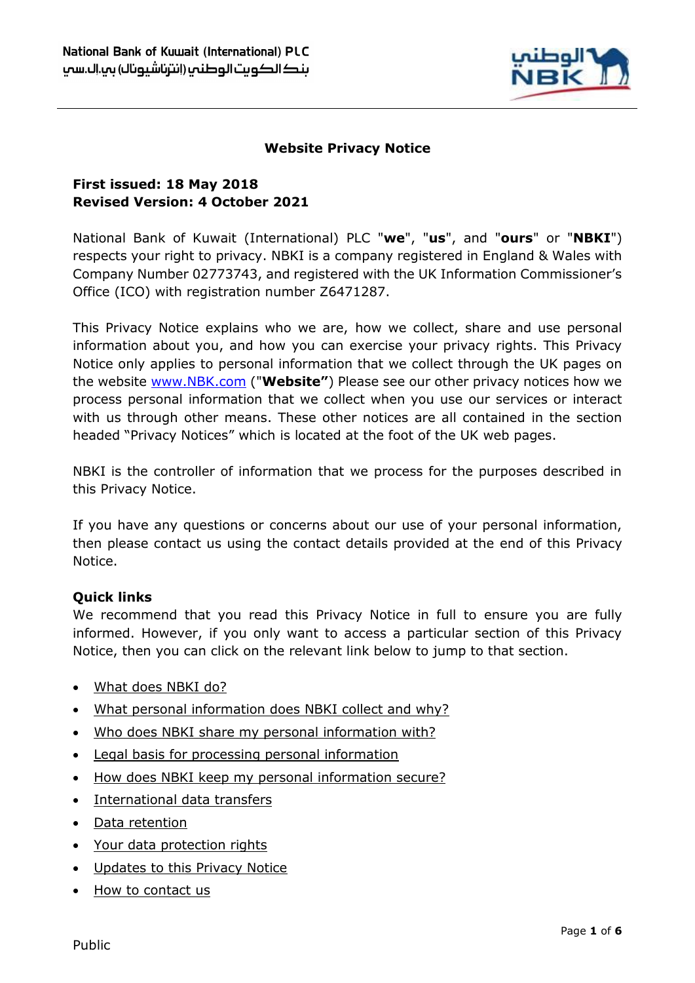

# **Website Privacy Notice**

# **First issued: 18 May 2018 Revised Version: 4 October 2021**

National Bank of Kuwait (International) PLC "**we**", "**us**", and "**ours**" or "**NBKI**") respects your right to privacy. NBKI is a company registered in England & Wales with Company Number 02773743, and registered with the UK Information Commissioner's Office (ICO) with registration number Z6471287.

This Privacy Notice explains who we are, how we collect, share and use personal information about you, and how you can exercise your privacy rights. This Privacy Notice only applies to personal information that we collect through the UK pages on the website [www.NBK.com](http://www.nbk.com/) ("**Website"**) Please see our other privacy notices how we process personal information that we collect when you use our services or interact with us through other means. These other notices are all contained in the section headed "Privacy Notices" which is located at the foot of the UK web pages.

NBKI is the controller of information that we process for the purposes described in this Privacy Notice.

If you have any questions or concerns about our use of your personal information, then please contact us using the contact details provided at the end of this Privacy Notice.

## **Quick links**

We recommend that you read this Privacy Notice in full to ensure you are fully informed. However, if you only want to access a particular section of this Privacy Notice, then you can click on the relevant link below to jump to that section.

- [What does NBKI do?](#page-1-0)
- [What personal information does NBKI collect and why?](#page-1-1)
- . [Who does NBKI share my personal information with?](#page-2-0)
- [Legal basis for processing personal information](#page-3-0)
- [How does NBKI keep my personal information secure?](#page-3-1)
- [International data transfers](#page-3-2)
- [Data retention](#page-4-0)
- [Your data protection rights](#page-4-1)
- [Updates to this Privacy Notice](#page-5-0)
- [How to contact us](#page-5-1)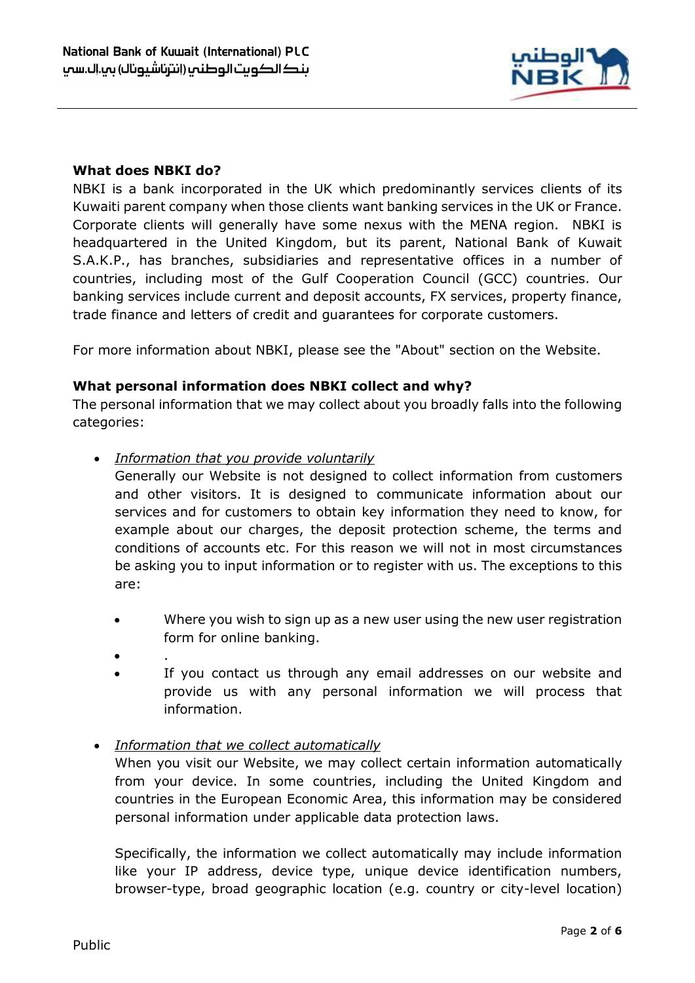

### <span id="page-1-0"></span>**What does NBKI do?**

NBKI is a bank incorporated in the UK which predominantly services clients of its Kuwaiti parent company when those clients want banking services in the UK or France. Corporate clients will generally have some nexus with the MENA region. NBKI is headquartered in the United Kingdom, but its parent, National Bank of Kuwait S.A.K.P., has branches, subsidiaries and representative offices in a number of countries, including most of the Gulf Cooperation Council (GCC) countries. Our banking services include current and deposit accounts, FX services, property finance, trade finance and letters of credit and guarantees for corporate customers.

For more information about NBKI, please see the "About" section on the Website.

#### <span id="page-1-1"></span>**What personal information does NBKI collect and why?**

The personal information that we may collect about you broadly falls into the following categories:

- *Information that you provide voluntarily*
	- Generally our Website is not designed to collect information from customers and other visitors. It is designed to communicate information about our services and for customers to obtain key information they need to know, for example about our charges, the deposit protection scheme, the terms and conditions of accounts etc. For this reason we will not in most circumstances be asking you to input information or to register with us. The exceptions to this are:
	- Where you wish to sign up as a new user using the new user registration form for online banking.
	- $\bullet$  .
	- If you contact us through any email addresses on our website and provide us with any personal information we will process that information.
- *Information that we collect automatically*

When you visit our Website, we may collect certain information automatically from your device. In some countries, including the United Kingdom and countries in the European Economic Area, this information may be considered personal information under applicable data protection laws.

Specifically, the information we collect automatically may include information like your IP address, device type, unique device identification numbers, browser-type, broad geographic location (e.g. country or city-level location)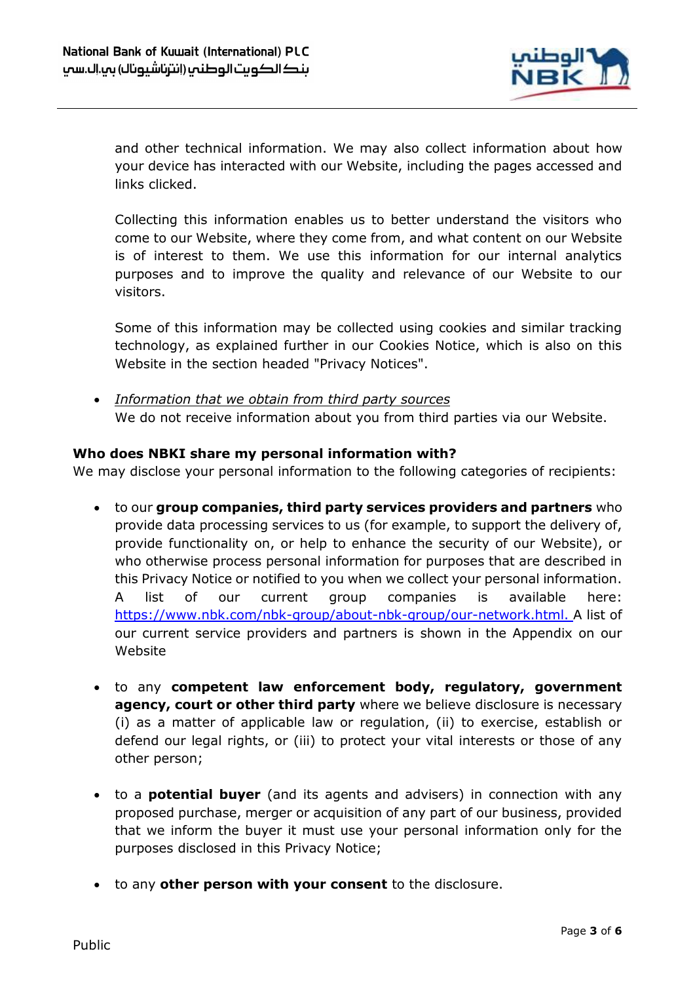

and other technical information. We may also collect information about how your device has interacted with our Website, including the pages accessed and links clicked.

Collecting this information enables us to better understand the visitors who come to our Website, where they come from, and what content on our Website is of interest to them. We use this information for our internal analytics purposes and to improve the quality and relevance of our Website to our visitors.

Some of this information may be collected using cookies and similar tracking technology, as explained further in our Cookies Notice, which is also on this Website in the section headed "Privacy Notices".

 *Information that we obtain from third party sources* We do not receive information about you from third parties via our Website.

# <span id="page-2-0"></span>**Who does NBKI share my personal information with?**

We may disclose your personal information to the following categories of recipients:

- to our **group companies, third party services providers and partners** who provide data processing services to us (for example, to support the delivery of, provide functionality on, or help to enhance the security of our Website), or who otherwise process personal information for purposes that are described in this Privacy Notice or notified to you when we collect your personal information. A list of our current group companies is available here: [https://www.nbk.com/nbk-group/about-nbk-group/our-network.html.](https://www.nbk.com/nbk-group/about-nbk-group/our-network.html) A list of our current service providers and partners is shown in the Appendix on our Website
- to any **competent law enforcement body, regulatory, government agency, court or other third party** where we believe disclosure is necessary (i) as a matter of applicable law or regulation, (ii) to exercise, establish or defend our legal rights, or (iii) to protect your vital interests or those of any other person;
- to a **potential buyer** (and its agents and advisers) in connection with any proposed purchase, merger or acquisition of any part of our business, provided that we inform the buyer it must use your personal information only for the purposes disclosed in this Privacy Notice;
- to any **other person with your consent** to the disclosure.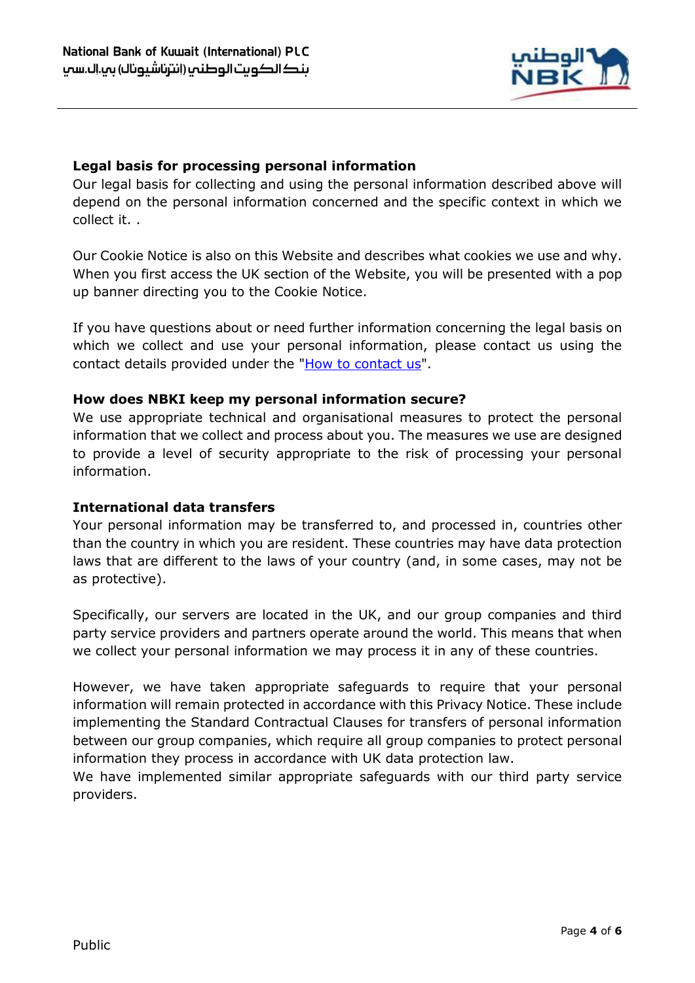

### <span id="page-3-0"></span>**Legal basis for processing personal information**

Our legal basis for collecting and using the personal information described above will depend on the personal information concerned and the specific context in which we collect it. .

Our Cookie Notice is also on this Website and describes what cookies we use and why. When you first access the UK section of the Website, you will be presented with a pop up banner directing you to the Cookie Notice.

If you have questions about or need further information concerning the legal basis on which we collect and use your personal information, please contact us using the contact details provided under the ["How to contact us"](#page-5-1).

#### <span id="page-3-1"></span>**How does NBKI keep my personal information secure?**

We use appropriate technical and organisational measures to protect the personal information that we collect and process about you. The measures we use are designed to provide a level of security appropriate to the risk of processing your personal information.

#### <span id="page-3-2"></span>**International data transfers**

Your personal information may be transferred to, and processed in, countries other than the country in which you are resident. These countries may have data protection laws that are different to the laws of your country (and, in some cases, may not be as protective).

Specifically, our servers are located in the UK, and our group companies and third party service providers and partners operate around the world. This means that when we collect your personal information we may process it in any of these countries.

However, we have taken appropriate safeguards to require that your personal information will remain protected in accordance with this Privacy Notice. These include implementing the Standard Contractual Clauses for transfers of personal information between our group companies, which require all group companies to protect personal information they process in accordance with UK data protection law.

We have implemented similar appropriate safeguards with our third party service providers.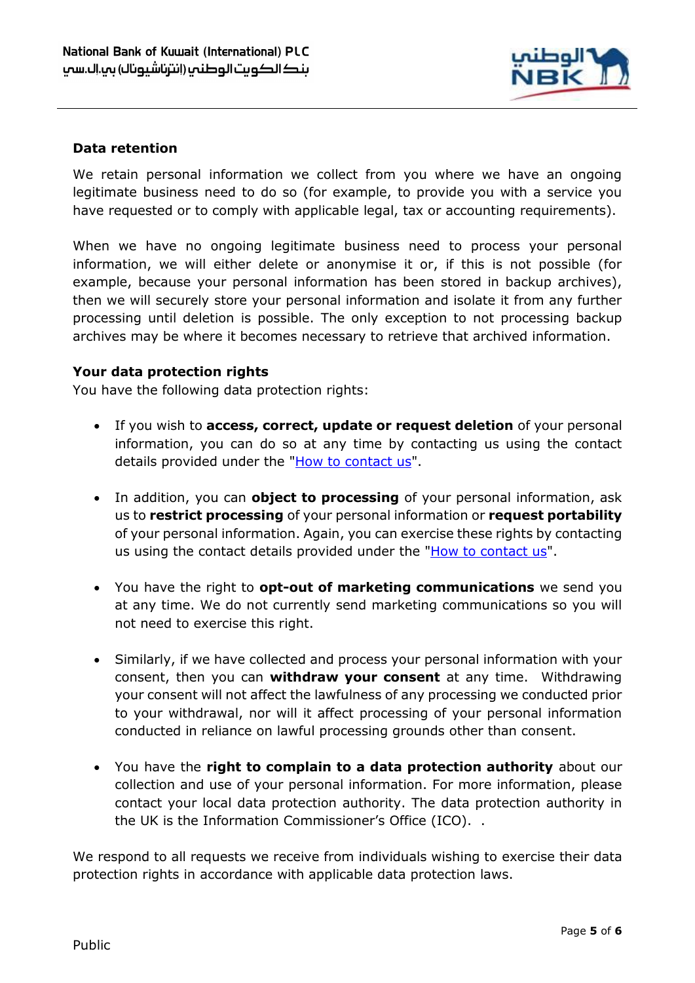

## <span id="page-4-0"></span>**Data retention**

We retain personal information we collect from you where we have an ongoing legitimate business need to do so (for example, to provide you with a service you have requested or to comply with applicable legal, tax or accounting requirements).

When we have no ongoing legitimate business need to process your personal information, we will either delete or anonymise it or, if this is not possible (for example, because your personal information has been stored in backup archives), then we will securely store your personal information and isolate it from any further processing until deletion is possible. The only exception to not processing backup archives may be where it becomes necessary to retrieve that archived information.

#### <span id="page-4-1"></span>**Your data protection rights**

You have the following data protection rights:

- If you wish to **access, correct, update or request deletion** of your personal information, you can do so at any time by contacting us using the contact details provided under the ["How to contact us"](#page-5-1).
- In addition, you can **object to processing** of your personal information, ask us to **restrict processing** of your personal information or **request portability** of your personal information. Again, you can exercise these rights by contacting us using the contact details provided under the ["How to contact us"](#page-5-1).
- You have the right to **opt-out of marketing communications** we send you at any time. We do not currently send marketing communications so you will not need to exercise this right.
- Similarly, if we have collected and process your personal information with your consent, then you can **withdraw your consent** at any time. Withdrawing your consent will not affect the lawfulness of any processing we conducted prior to your withdrawal, nor will it affect processing of your personal information conducted in reliance on lawful processing grounds other than consent.
- You have the **right to complain to a data protection authority** about our collection and use of your personal information. For more information, please contact your local data protection authority. The data protection authority in the UK is the Information Commissioner's Office (ICO). .

We respond to all requests we receive from individuals wishing to exercise their data protection rights in accordance with applicable data protection laws.